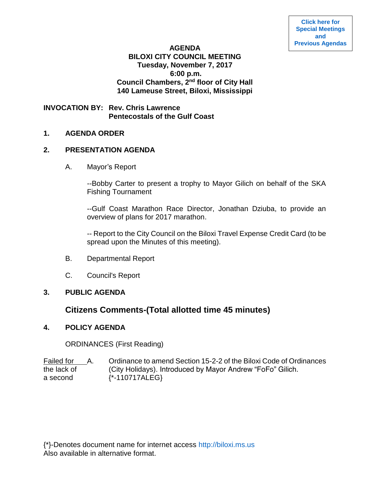## **AGENDA**

## **BILOXI CITY COUNCIL MEETING Tuesday, November 7, 2017 6:00 p.m. Council Chambers, 2nd floor of City Hall 140 Lameuse Street, Biloxi, Mississippi**

**INVOCATION BY: Rev. Chris Lawrence Pentecostals of the Gulf Coast**

#### **1. AGENDA ORDER**

### **2. PRESENTATION AGENDA**

A. Mayor's Report

--Bobby Carter to present a trophy to Mayor Gilich on behalf of the SKA Fishing Tournament

--Gulf Coast Marathon Race Director, Jonathan Dziuba, to provide an overview of plans for 2017 marathon.

-- Report to the City Council on the Biloxi Travel Expense Credit Card (to be spread upon the Minutes of this meeting).

- B. Departmental Report
- C. Council's Report

## **3. PUBLIC AGENDA**

## **Citizens Comments-(Total allotted time 45 minutes)**

## **4. POLICY AGENDA**

ORDINANCES (First Reading)

Failed for A. Ordinance to amend Section 15-2-2 of the Biloxi Code of Ordinances the lack of (City Holidays). Introduced by Mayor Andrew "FoFo" Gilich. a second {\*-110717ALEG}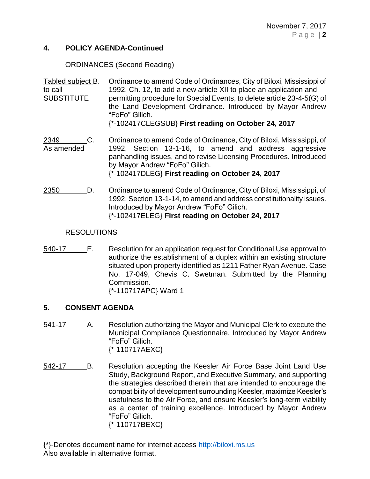### **4. POLICY AGENDA-Continued**

ORDINANCES (Second Reading)

| Tabled subject B.<br>to call<br><b>SUBSTITUTE</b> | Ordinance to amend Code of Ordinances, City of Biloxi, Mississippi of<br>1992, Ch. 12, to add a new article XII to place an application and<br>permitting procedure for Special Events, to delete article 23-4-5(G) of<br>the Land Development Ordinance. Introduced by Mayor Andrew<br>"FoFo" Gilich.<br>{*-102417CLEGSUB} First reading on October 24, 2017 |
|---------------------------------------------------|---------------------------------------------------------------------------------------------------------------------------------------------------------------------------------------------------------------------------------------------------------------------------------------------------------------------------------------------------------------|
| 2349<br>C.<br>As amended                          | Ordinance to amend Code of Ordinance, City of Biloxi, Mississippi, of<br>1992, Section 13-1-16, to amend and address aggressive<br>panhandling issues, and to revise Licensing Procedures. Introduced<br>by Mayor Andrew "FoFo" Gilich.<br>{*-102417DLEG} First reading on October 24, 2017                                                                   |
| 2350<br>D.                                        | Ordinance to amend Code of Ordinance, City of Biloxi, Mississippi, of<br>1992, Section 13-1-14, to amend and address constitutionality issues.<br>Introduced by Mayor Andrew "FoFo" Gilich.                                                                                                                                                                   |

# {\*-102417ELEG} **First reading on October 24, 2017**

#### RESOLUTIONS

540-17 **E.** Resolution for an application request for Conditional Use approval to authorize the establishment of a duplex within an existing structure situated upon property identified as 1211 Father Ryan Avenue. Case No. 17-049, Chevis C. Swetman. Submitted by the Planning Commission. {\*-110717APC} Ward 1

## **5. CONSENT AGENDA**

- 541-17 A. Resolution authorizing the Mayor and Municipal Clerk to execute the Municipal Compliance Questionnaire. Introduced by Mayor Andrew "FoFo" Gilich. {\*-110717AEXC}
- 542-17 B. Resolution accepting the Keesler Air Force Base Joint Land Use Study, Background Report, and Executive Summary, and supporting the strategies described therein that are intended to encourage the compatibility of development surrounding Keesler, maximize Keesler's usefulness to the Air Force, and ensure Keesler's long-term viability as a center of training excellence. Introduced by Mayor Andrew "FoFo" Gilich. {\*-110717BEXC}
- {\*}-Denotes document name for internet access [http://biloxi.ms.us](http://biloxi.ms.us/) Also available in alternative format.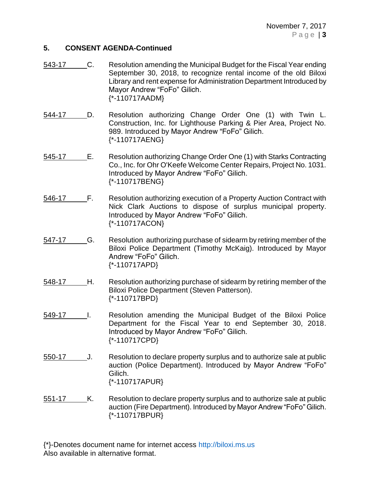## **5. CONSENT AGENDA-Continued**

- 543-17 C. Resolution amending the Municipal Budget for the Fiscal Year ending September 30, 2018, to recognize rental income of the old Biloxi Library and rent expense for Administration Department Introduced by Mayor Andrew "FoFo" Gilich. {\*-110717AADM}
- 544-17 D. Resolution authorizing Change Order One (1) with Twin L. Construction, Inc. for Lighthouse Parking & Pier Area, Project No. 989. Introduced by Mayor Andrew "FoFo" Gilich. {\*-110717AENG}
- 545-17 E. Resolution authorizing Change Order One (1) with Starks Contracting Co., Inc. for Ohr O'Keefe Welcome Center Repairs, Project No. 1031. Introduced by Mayor Andrew "FoFo" Gilich. {\*-110717BENG}
- 546-17 F. Resolution authorizing execution of a Property Auction Contract with Nick Clark Auctions to dispose of surplus municipal property. Introduced by Mayor Andrew "FoFo" Gilich. {\*-110717ACON}
- 547-17 G. Resolution authorizing purchase of sidearm by retiring member of the Biloxi Police Department (Timothy McKaig). Introduced by Mayor Andrew "FoFo" Gilich. {\*-110717APD}
- 548-17 H. Resolution authorizing purchase of sidearm by retiring member of the Biloxi Police Department (Steven Patterson). {\*-110717BPD}
- 549-17 I. Resolution amending the Municipal Budget of the Biloxi Police Department for the Fiscal Year to end September 30, 2018. Introduced by Mayor Andrew "FoFo" Gilich. {\*-110717CPD}
- 550-17 J. Resolution to declare property surplus and to authorize sale at public auction (Police Department). Introduced by Mayor Andrew "FoFo" Gilich. {\*-110717APUR}
- 551-17 K. Resolution to declare property surplus and to authorize sale at public auction (Fire Department). Introduced by Mayor Andrew "FoFo" Gilich. {\*-110717BPUR}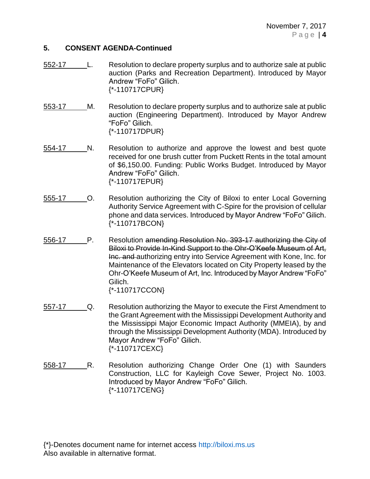## **5. CONSENT AGENDA-Continued**

- 552-17 L. Resolution to declare property surplus and to authorize sale at public auction (Parks and Recreation Department). Introduced by Mayor Andrew "FoFo" Gilich. {\*-110717CPUR}
- 553-17 M. Resolution to declare property surplus and to authorize sale at public auction (Engineering Department). Introduced by Mayor Andrew "FoFo" Gilich. {\*-110717DPUR}
- 554-17 N. Resolution to authorize and approve the lowest and best quote received for one brush cutter from Puckett Rents in the total amount of \$6,150.00. Funding: Public Works Budget. Introduced by Mayor Andrew "FoFo" Gilich. {\*-110717EPUR}
- 555-17 O. Resolution authorizing the City of Biloxi to enter Local Governing Authority Service Agreement with C-Spire for the provision of cellular phone and data services. Introduced by Mayor Andrew "FoFo" Gilich. {\*-110717BCON}
- 556-17 P. Resolution amending Resolution No. 393-17 authorizing the City of Biloxi to Provide In-Kind Support to the Ohr-O'Keefe Museum of Art, Inc. and authorizing entry into Service Agreement with Kone, Inc. for Maintenance of the Elevators located on City Property leased by the Ohr-O'Keefe Museum of Art, Inc. Introduced by Mayor Andrew "FoFo" Gilich. {\*-110717CCON}
- 557-17 Q. Resolution authorizing the Mayor to execute the First Amendment to the Grant Agreement with the Mississippi Development Authority and the Mississippi Major Economic Impact Authority (MMEIA), by and through the Mississippi Development Authority (MDA). Introduced by Mayor Andrew "FoFo" Gilich. {\*-110717CEXC}
- 558-17 R. Resolution authorizing Change Order One (1) with Saunders Construction, LLC for Kayleigh Cove Sewer, Project No. 1003. Introduced by Mayor Andrew "FoFo" Gilich. {\*-110717CENG}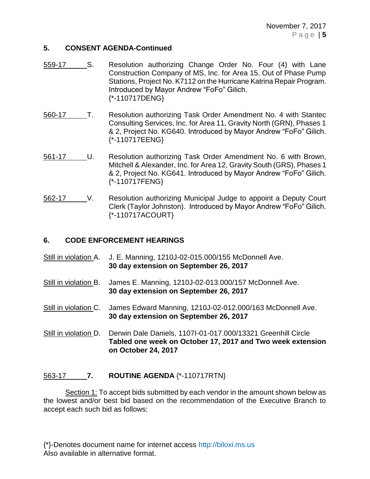November 7, 2017 P a g e | **5**

#### **5. CONSENT AGENDA-Continued**

- 559-17 S. Resolution authorizing Change Order No. Four (4) with Lane Construction Company of MS, Inc. for Area 15, Out of Phase Pump Stations, Project No. K7112 on the Hurricane Katrina Repair Program. Introduced by Mayor Andrew "FoFo" Gilich. {\*-110717DENG}
- 560-17 T. Resolution authorizing Task Order Amendment No. 4 with Stantec Consulting Services, Inc. for Area 11, Gravity North (GRN), Phases 1 & 2, Project No. KG640. Introduced by Mayor Andrew "FoFo" Gilich. {\*-110717EENG}
- 561-17 U. Resolution authorizing Task Order Amendment No. 6 with Brown, Mitchell & Alexander, Inc. for Area 12, Gravity South (GRS), Phases 1 & 2, Project No. KG641. Introduced by Mayor Andrew "FoFo" Gilich. {\*-110717FENG}
- 562-17 V. Resolution authorizing Municipal Judge to appoint a Deputy Court Clerk (Taylor Johnston). Introduced by Mayor Andrew "FoFo" Gilich. {\*-110717ACOURT}

## **6. CODE ENFORCEMENT HEARINGS**

- Still in violation A. J. E. Manning, 1210J-02-015.000/155 McDonnell Ave. **30 day extension on September 26, 2017**
- Still in violation B. James E. Manning, 1210J-02-013.000/157 McDonnell Ave. **30 day extension on September 26, 2017**
- Still in violation C. James Edward Manning, 1210J-02-012.000/163 McDonnell Ave. **30 day extension on September 26, 2017**
- Still in violation D. Derwin Dale Daniels, 1107I-01-017.000/13321 Greenhill Circle **Tabled one week on October 17, 2017 and Two week extension on October 24, 2017**

## 563-17 **7. ROUTINE AGENDA** {\*-110717RTN}

Section 1: To accept bids submitted by each vendor in the amount shown below as the lowest and/or best bid based on the recommendation of the Executive Branch to accept each such bid as follows: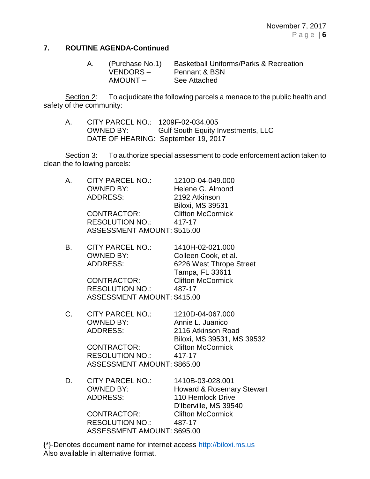## **7. ROUTINE AGENDA-Continued**

| А. | (Purchase No.1) | <b>Basketball Uniforms/Parks &amp; Recreation</b> |
|----|-----------------|---------------------------------------------------|
|    | VENDORS-        | Pennant & BSN                                     |
|    | AMOUNT –        | See Attached                                      |

Section 2: To adjudicate the following parcels a menace to the public health and safety of the community:

A. CITY PARCEL NO.: 1209F-02-034.005 OWNED BY: Gulf South Equity Investments, LLC DATE OF HEARING: September 19, 2017

Section 3: To authorize special assessment to code enforcement action taken to clean the following parcels:

| А. | <b>CITY PARCEL NO.:</b>            | 1210D-04-049.000         |
|----|------------------------------------|--------------------------|
|    | <b>OWNED BY:</b>                   | Helene G. Almond         |
|    | <b>ADDRESS:</b>                    | 2192 Atkinson            |
|    |                                    | <b>Biloxi, MS 39531</b>  |
|    | <b>CONTRACTOR:</b>                 | <b>Clifton McCormick</b> |
|    | <b>RESOLUTION NO.:</b>             | 417-17                   |
|    | <b>ASSESSMENT AMOUNT: \$515.00</b> |                          |
|    |                                    |                          |

B. CITY PARCEL NO.: 1410H-02-021.000 OWNED BY: Colleen Cook, et al. ADDRESS: 6226 West Thrope Street Tampa, FL 33611 CONTRACTOR: Clifton McCormick RESOLUTION NO.: 487-17

ASSESSMENT AMOUNT: \$415.00

| C. | <b>CITY PARCEL NO.:</b>     | 1210D-04-067.000           |
|----|-----------------------------|----------------------------|
|    | <b>OWNED BY:</b>            | Annie L. Juanico           |
|    | <b>ADDRESS:</b>             | 2116 Atkinson Road         |
|    |                             | Biloxi, MS 39531, MS 39532 |
|    | <b>CONTRACTOR:</b>          | <b>Clifton McCormick</b>   |
|    | <b>RESOLUTION NO.:</b>      | 417-17                     |
|    | ASSESSMENT AMOUNT: \$865.00 |                            |
|    |                             |                            |

D. CITY PARCEL NO.: 1410B-03-028.001 OWNED BY: Howard & Rosemary Stewart ADDRESS: 110 Hemlock Drive D'Iberville, MS 39540 CONTRACTOR: Clifton McCormick RESOLUTION NO.: 487-17 ASSESSMENT AMOUNT: \$695.00